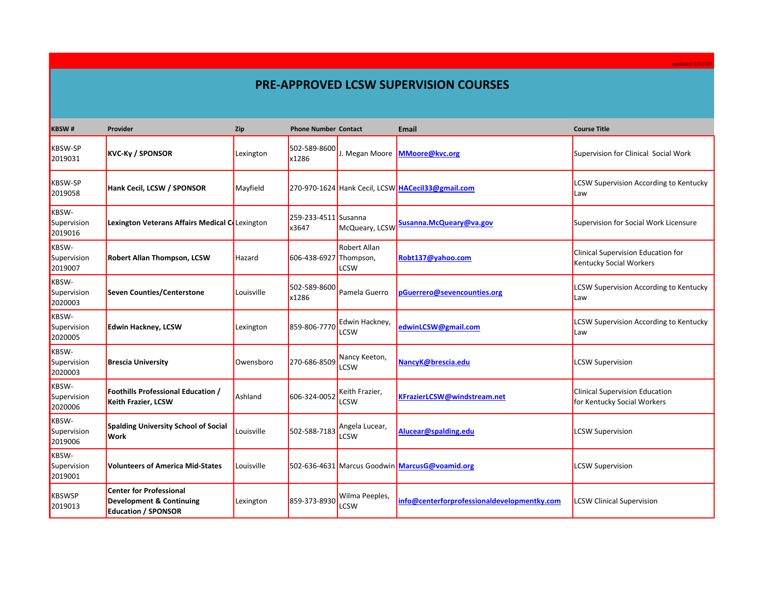## **PRE-APPROVED LCSW SUPERVISION COURSES**

| <b>KBSW#</b>                           | Provider                                                                                            | Zip        | <b>Phone Number Contact</b>   |                                    | <b>Email</b>                                      | <b>Course Title</b>                                                         |
|----------------------------------------|-----------------------------------------------------------------------------------------------------|------------|-------------------------------|------------------------------------|---------------------------------------------------|-----------------------------------------------------------------------------|
| <b>KBSW-SP</b><br>2019031              | <b>KVC-Ky / SPONSOR</b>                                                                             | Lexington  | 502-589-8600<br>x1286         | J. Megan Moore                     | <b>MMoore@kvc.org</b>                             | Supervision for Clinical Social Work                                        |
| <b>KBSW-SP</b><br>2019058              | Hank Cecil, LCSW / SPONSOR                                                                          | Mayfield   |                               |                                    | 270-970-1624 Hank Cecil, LCSW HACecil33@gmail.com | <b>LCSW Supervision According to Kentucky</b><br>Law                        |
| <b>KBSW-</b><br>Supervision<br>2019016 | Lexington Veterans Affairs Medical Colexington                                                      |            | 259-233-4511 Susanna<br>x3647 | McQueary, LCSW                     | Susanna.McQueary@va.gov                           | Supervision for Social Work Licensure                                       |
| <b>KBSW-</b><br>Supervision<br>2019007 | <b>Robert Allan Thompson, LCSW</b>                                                                  | Hazard     | 606-438-6927 Thompson,        | <b>Robert Allan</b><br><b>LCSW</b> | Robt137@yahoo.com                                 | <b>Clinical Supervision Education for</b><br><b>Kentucky Social Workers</b> |
| <b>KBSW-</b><br>Supervision<br>2020003 | <b>Seven Counties/Centerstone</b>                                                                   | Louisville | 502-589-8600<br>x1286         | Pamela Guerro                      | pGuerrero@sevencounties.org                       | <b>LCSW Supervision According to Kentucky</b><br>Law                        |
| <b>KBSW-</b><br>Supervision<br>2020005 | <b>Edwin Hackney, LCSW</b>                                                                          | Lexington  | 859-806-7770                  | Edwin Hacknev.<br>LCSW             | edwinLCSW@gmail.com                               | <b>LCSW Supervision According to Kentucky</b><br>lLaw                       |
| <b>KBSW-</b><br>Supervision<br>2020003 | <b>Brescia University</b>                                                                           | Owensboro  | 270-686-8509                  | Nancy Keeton,<br>LCSW              | NancyK@brescia.edu                                | <b>LCSW Supervision</b>                                                     |
| <b>KBSW-</b><br>Supervision<br>2020006 | Foothills Professional Education /<br><b>Keith Frazier, LCSW</b>                                    | Ashland    | 606-324-0052                  | Keith Frazier,<br>LCSW             | KFrazierLCSW@windstream.net                       | <b>Clinical Supervision Education</b><br>for Kentucky Social Workers        |
| <b>KBSW-</b><br>Supervision<br>2019006 | <b>Spalding University School of Social</b><br>Work                                                 | Louisville | 502-588-7183                  | Angela Lucear,<br>LCSW             | Alucear@spalding.edu                              | <b>LCSW Supervision</b>                                                     |
| <b>KBSW-</b><br>Supervision<br>2019001 | <b>Volunteers of America Mid-States</b>                                                             | Louisville |                               |                                    | 502-636-4631 Marcus Goodwin MarcusG@voamid.org    | <b>LCSW Supervision</b>                                                     |
| KBSWSP<br>2019013                      | <b>Center for Professional</b><br><b>Development &amp; Continuing</b><br><b>Education / SPONSOR</b> | Lexington  | 859-373-8930                  | Wilma Peeples,<br>LCSW             | info@centerforprofessionaldevelopmentky.com       | <b>LCSW Clinical Supervision</b>                                            |

*updated 5/31/20*